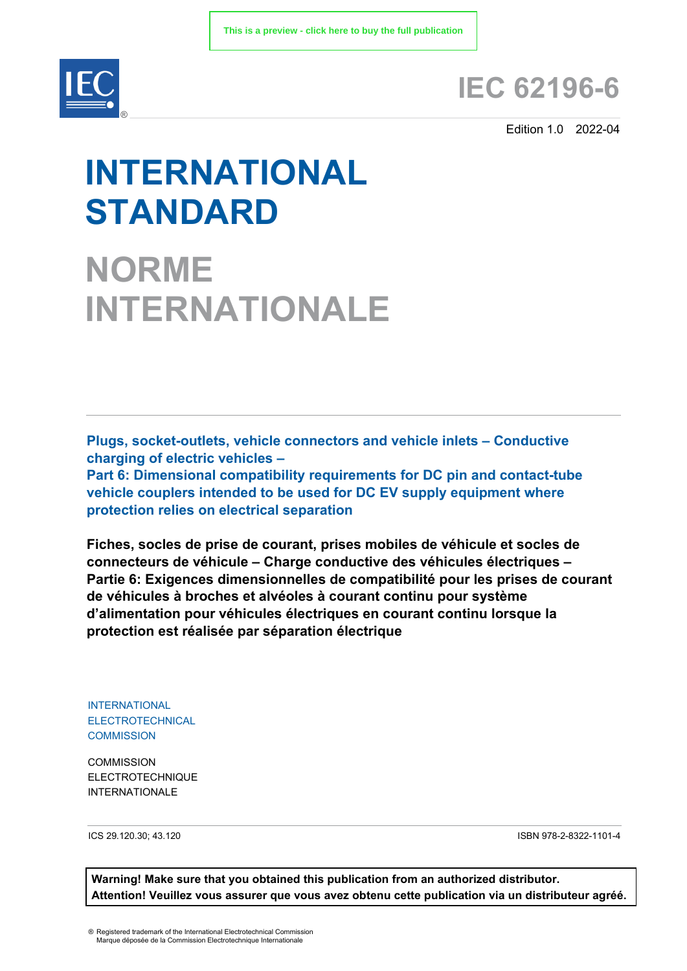

# **IEC 62196-6**

Edition 1.0 2022-04

# **INTERNATIONAL STANDARD**

**NORME INTERNATIONALE**

**Plugs, socket-outlets, vehicle connectors and vehicle inlets – Conductive charging of electric vehicles –** 

**Part 6: Dimensional compatibility requirements for DC pin and contact-tube vehicle couplers intended to be used for DC EV supply equipment where protection relies on electrical separation** 

**Fiches, socles de prise de courant, prises mobiles de véhicule et socles de connecteurs de véhicule – Charge conductive des véhicules électriques – Partie 6: Exigences dimensionnelles de compatibilité pour les prises de courant de véhicules à broches et alvéoles à courant continu pour système d'alimentation pour véhicules électriques en courant continu lorsque la protection est réalisée par séparation électrique** 

INTERNATIONAL ELECTROTECHNICAL **COMMISSION** 

**COMMISSION** ELECTROTECHNIQUE INTERNATIONALE

ICS 29.120.30; 43.120 ISBN 978-2-8322-1101-4

**Warning! Make sure that you obtained this publication from an authorized distributor. Attention! Veuillez vous assurer que vous avez obtenu cette publication via un distributeur agréé.**

® Registered trademark of the International Electrotechnical Commission Marque déposée de la Commission Electrotechnique Internationale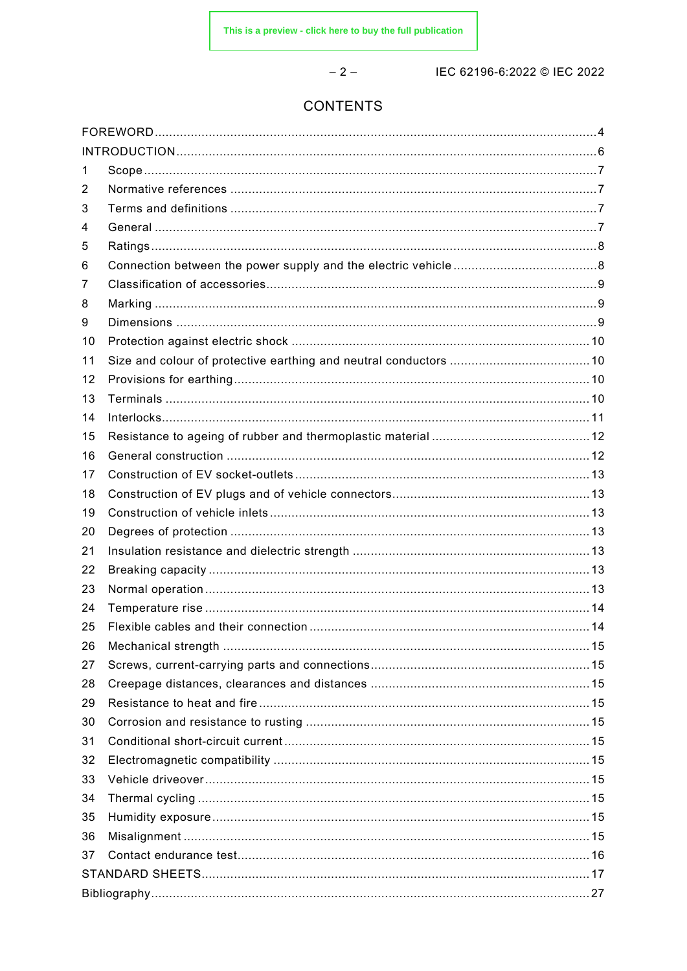$-2-$ 

IEC 62196-6:2022 © IEC 2022

# **CONTENTS**

| 1  |  |  |  |  |
|----|--|--|--|--|
| 2  |  |  |  |  |
| 3  |  |  |  |  |
| 4  |  |  |  |  |
| 5  |  |  |  |  |
| 6  |  |  |  |  |
| 7  |  |  |  |  |
| 8  |  |  |  |  |
| 9  |  |  |  |  |
| 10 |  |  |  |  |
| 11 |  |  |  |  |
| 12 |  |  |  |  |
| 13 |  |  |  |  |
| 14 |  |  |  |  |
| 15 |  |  |  |  |
| 16 |  |  |  |  |
| 17 |  |  |  |  |
| 18 |  |  |  |  |
| 19 |  |  |  |  |
| 20 |  |  |  |  |
| 21 |  |  |  |  |
| 22 |  |  |  |  |
| 23 |  |  |  |  |
| 24 |  |  |  |  |
| 25 |  |  |  |  |
| 26 |  |  |  |  |
| 27 |  |  |  |  |
| 28 |  |  |  |  |
| 29 |  |  |  |  |
| 30 |  |  |  |  |
| 31 |  |  |  |  |
| 32 |  |  |  |  |
| 33 |  |  |  |  |
| 34 |  |  |  |  |
| 35 |  |  |  |  |
| 36 |  |  |  |  |
| 37 |  |  |  |  |
|    |  |  |  |  |
|    |  |  |  |  |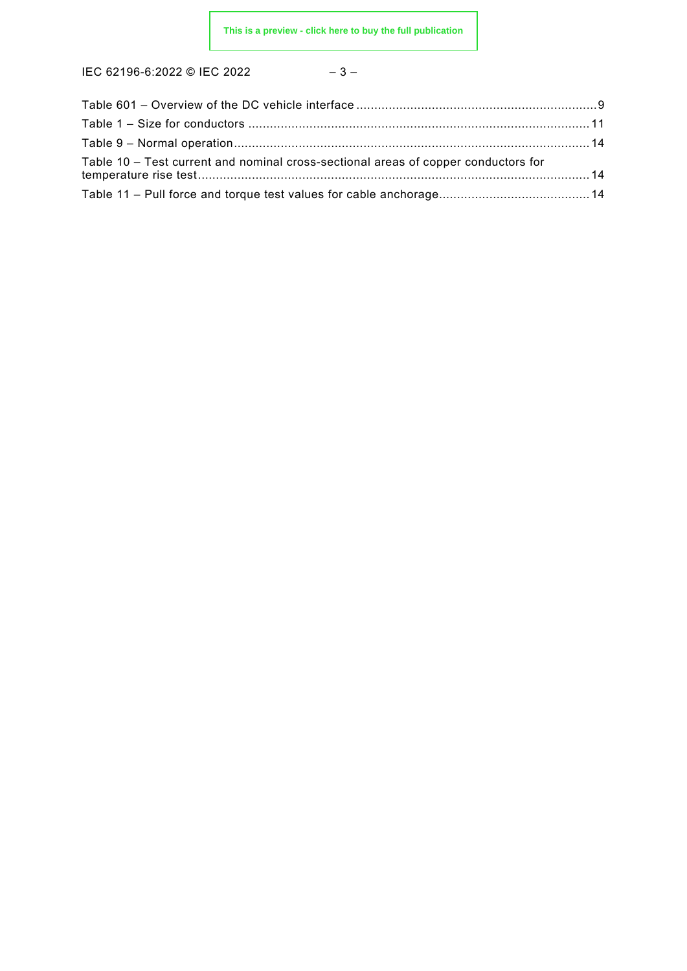$$
-3-
$$

| Table 10 - Test current and nominal cross-sectional areas of copper conductors for |  |
|------------------------------------------------------------------------------------|--|
|                                                                                    |  |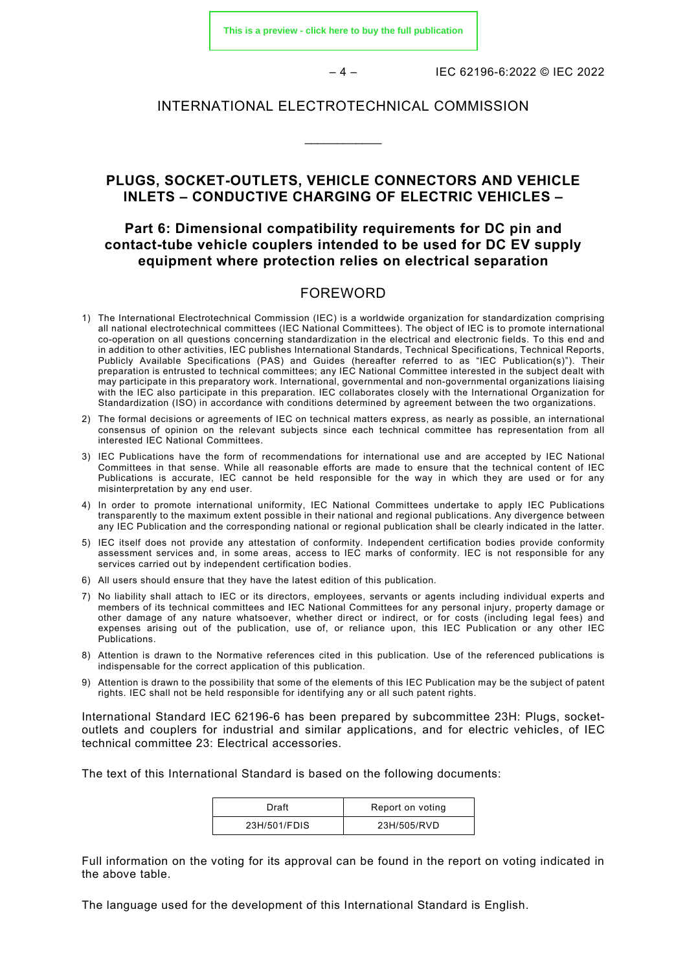**[This is a preview - click here to buy the full publication](https://webstore.iec.ch/publication/62552&preview)**

– 4 – IEC 62196-6:2022 © IEC 2022

#### INTERNATIONAL ELECTROTECHNICAL COMMISSION

\_\_\_\_\_\_\_\_\_\_\_\_

# **PLUGS, SOCKET-OUTLETS, VEHICLE CONNECTORS AND VEHICLE INLETS – CONDUCTIVE CHARGING OF ELECTRIC VEHICLES –**

# **Part 6: Dimensional compatibility requirements for DC pin and contact-tube vehicle couplers intended to be used for DC EV supply equipment where protection relies on electrical separation**

#### FOREWORD

- <span id="page-3-0"></span>1) The International Electrotechnical Commission (IEC) is a worldwide organization for standardization comprising all national electrotechnical committees (IEC National Committees). The object of IEC is to promote international co-operation on all questions concerning standardization in the electrical and electronic fields. To this end and in addition to other activities, IEC publishes International Standards, Technical Specifications, Technical Reports, Publicly Available Specifications (PAS) and Guides (hereafter referred to as "IEC Publication(s)"). Their preparation is entrusted to technical committees; any IEC National Committee interested in the subject dealt with may participate in this preparatory work. International, governmental and non-governmental organizations liaising with the IEC also participate in this preparation. IEC collaborates closely with the International Organization for Standardization (ISO) in accordance with conditions determined by agreement between the two organizations.
- 2) The formal decisions or agreements of IEC on technical matters express, as nearly as possible, an international consensus of opinion on the relevant subjects since each technical committee has representation from all interested IEC National Committees.
- 3) IEC Publications have the form of recommendations for international use and are accepted by IEC National Committees in that sense. While all reasonable efforts are made to ensure that the technical content of IEC Publications is accurate, IEC cannot be held responsible for the way in which they are used or for any misinterpretation by any end user.
- 4) In order to promote international uniformity, IEC National Committees undertake to apply IEC Publications transparently to the maximum extent possible in their national and regional publications. Any divergence between any IEC Publication and the corresponding national or regional publication shall be clearly indicated in the latter.
- 5) IEC itself does not provide any attestation of conformity. Independent certification bodies provide conformity assessment services and, in some areas, access to IEC marks of conformity. IEC is not responsible for any services carried out by independent certification bodies.
- 6) All users should ensure that they have the latest edition of this publication.
- 7) No liability shall attach to IEC or its directors, employees, servants or agents including individual experts and members of its technical committees and IEC National Committees for any personal injury, property damage or other damage of any nature whatsoever, whether direct or indirect, or for costs (including legal fees) and expenses arising out of the publication, use of, or reliance upon, this IEC Publication or any other IEC Publications.
- 8) Attention is drawn to the Normative references cited in this publication. Use of the referenced publications is indispensable for the correct application of this publication.
- 9) Attention is drawn to the possibility that some of the elements of this IEC Publication may be the subject of patent rights. IEC shall not be held responsible for identifying any or all such patent rights.

International Standard IEC 62196-6 has been prepared by subcommittee 23H: Plugs, socketoutlets and couplers for industrial and similar applications, and for electric vehicles, of IEC technical committee 23: Electrical accessories.

The text of this International Standard is based on the following documents:

| Draft        | Report on voting |
|--------------|------------------|
| 23H/501/FDIS | 23H/505/RVD      |

Full information on the voting for its approval can be found in the report on voting indicated in the above table.

The language used for the development of this International Standard is English.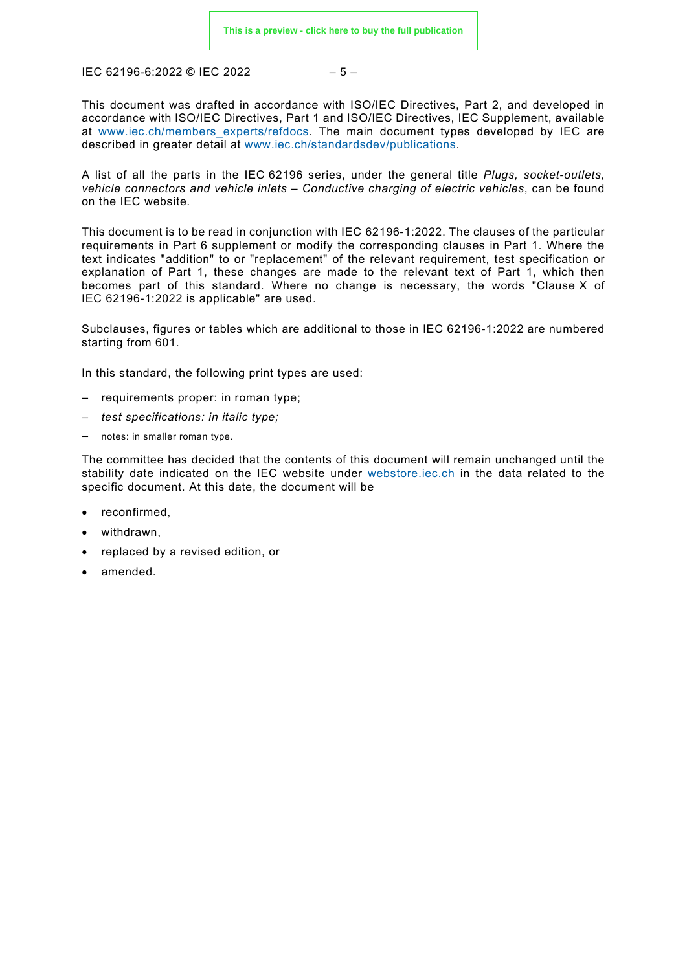$$
-5-
$$

This document was drafted in accordance with ISO/IEC Directives, Part 2, and developed in accordance with ISO/IEC Directives, Part 1 and ISO/IEC Directives, IEC Supplement, available at [www.iec.ch/members\\_experts/refdocs.](http://www.iec.ch/members_experts/refdocs) The main document types developed by IEC are described in greater detail at [www.iec.ch/standardsdev/publications.](http://www.iec.ch/standardsdev/publications)

A list of all the parts in the IEC 62196 series, under the general title *Plugs, socket-outlets, vehicle connectors and vehicle inlets – Conductive charging of electric vehicles*, can be found on the IEC website.

This document is to be read in conjunction with IEC 62196-1:2022. The clauses of the particular requirements in Part 6 supplement or modify the corresponding clauses in Part 1. Where the text indicates "addition" to or "replacement" of the relevant requirement, test specification or explanation of Part 1, these changes are made to the relevant text of Part 1, which then becomes part of this standard. Where no change is necessary, the words "Clause X of IEC 62196-1:2022 is applicable" are used.

Subclauses, figures or tables which are additional to those in IEC 62196-1:2022 are numbered starting from 601.

In this standard, the following print types are used:

- requirements proper: in roman type;
- *test specifications: in italic type;*
- notes: in smaller roman type.

The committee has decided that the contents of this document will remain unchanged until the stability date indicated on the IEC website under [webstore.iec.ch](https://webstore.iec.ch/?ref=menu) in the data related to the specific document. At this date, the document will be

- reconfirmed,
- withdrawn,
- replaced by a revised edition, or
- amended.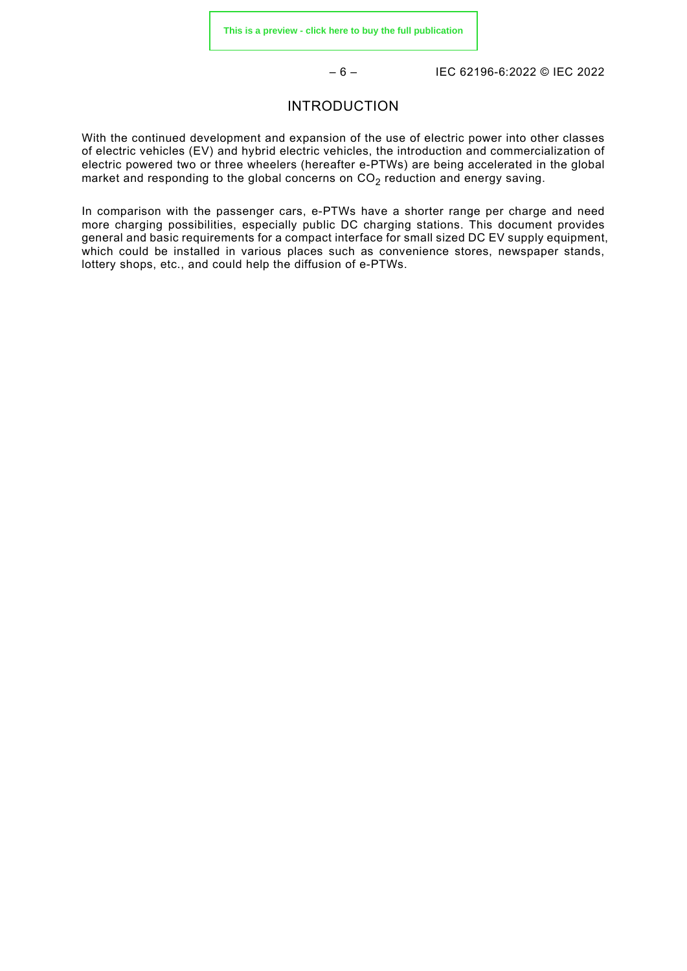– 6 – IEC 62196-6:2022 © IEC 2022

#### INTRODUCTION

<span id="page-5-0"></span>With the continued development and expansion of the use of electric power into other classes of electric vehicles (EV) and hybrid electric vehicles, the introduction and commercialization of electric powered two or three wheelers (hereafter e-PTWs) are being accelerated in the global market and responding to the global concerns on  $CO<sub>2</sub>$  reduction and energy saving.

In comparison with the passenger cars, e-PTWs have a shorter range per charge and need more charging possibilities, especially public DC charging stations. This document provides general and basic requirements for a compact interface for small sized DC EV supply equipment, which could be installed in various places such as convenience stores, newspaper stands, lottery shops, etc., and could help the diffusion of e-PTWs.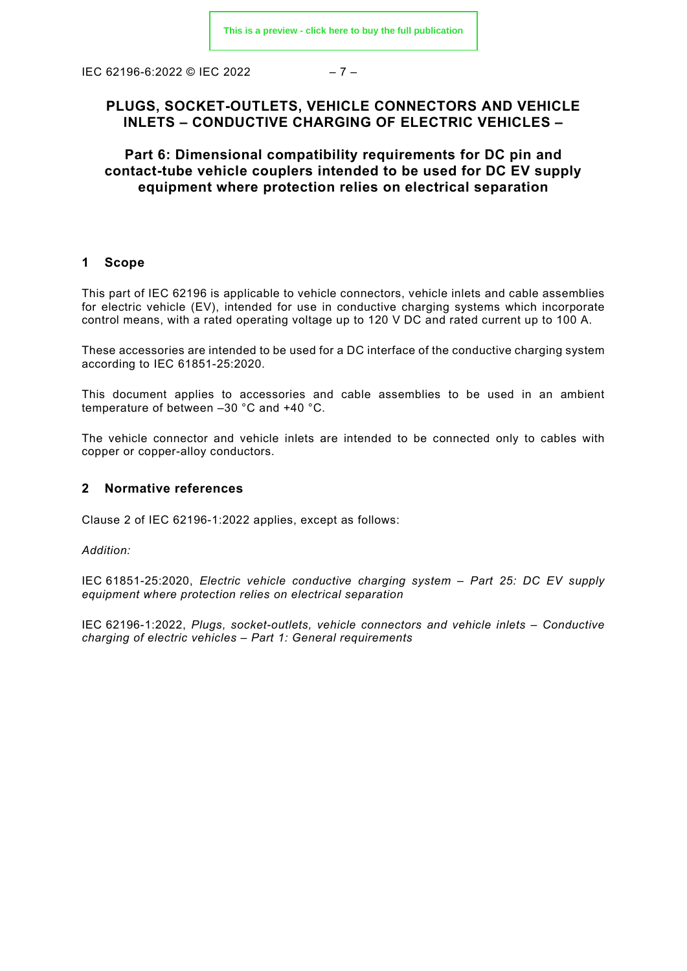IEC 62196-6:2022 © IEC 2022 – 7 –

# **PLUGS, SOCKET-OUTLETS, VEHICLE CONNECTORS AND VEHICLE INLETS – CONDUCTIVE CHARGING OF ELECTRIC VEHICLES –**

**Part 6: Dimensional compatibility requirements for DC pin and contact-tube vehicle couplers intended to be used for DC EV supply equipment where protection relies on electrical separation** 

#### <span id="page-6-0"></span>**1 Scope**

This part of IEC 62196 is applicable to vehicle connectors, vehicle inlets and cable assemblies for electric vehicle (EV), intended for use in conductive charging systems which incorporate control means, with a rated operating voltage up to 120 V DC and rated current up to 100 A.

These accessories are intended to be used for a DC interface of the conductive charging system according to IEC 61851-25:2020.

This document applies to accessories and cable assemblies to be used in an ambient temperature of between –30 °C and +40 °C.

The vehicle connector and vehicle inlets are intended to be connected only to cables with copper or copper-alloy conductors.

#### <span id="page-6-1"></span>**2 Normative references**

Clause 2 of IEC 62196-1:2022 applies, except as follows:

*Addition:*

IEC 61851-25:2020, *Electric vehicle conductive charging system – Part 25: DC EV supply equipment where protection relies on electrical separation* 

<span id="page-6-3"></span><span id="page-6-2"></span>IEC 62196-1:2022, *Plugs, socket-outlets, vehicle connectors and vehicle inlets – Conductive charging of electric vehicles – Part 1: General requirements*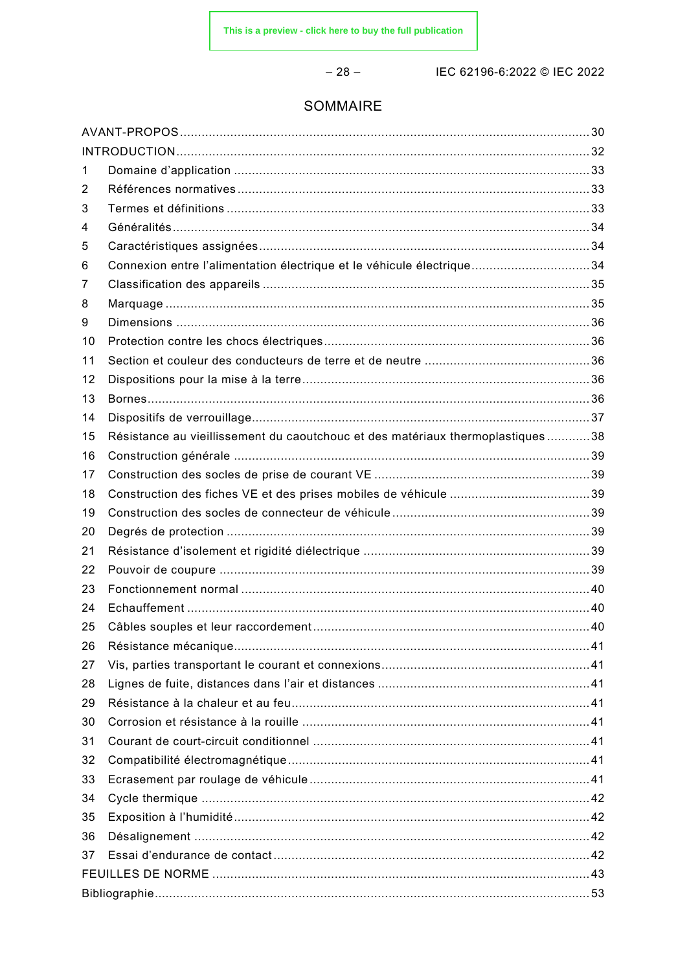$-28-$ 

IEC 62196-6:2022 © IEC 2022

# SOMMAIRE

| 1  |                                                                                 |  |  |
|----|---------------------------------------------------------------------------------|--|--|
| 2  |                                                                                 |  |  |
| 3  |                                                                                 |  |  |
| 4  |                                                                                 |  |  |
| 5  |                                                                                 |  |  |
| 6  | Connexion entre l'alimentation électrique et le véhicule électrique34           |  |  |
| 7  |                                                                                 |  |  |
| 8  |                                                                                 |  |  |
| 9  |                                                                                 |  |  |
| 10 |                                                                                 |  |  |
| 11 |                                                                                 |  |  |
| 12 |                                                                                 |  |  |
| 13 |                                                                                 |  |  |
| 14 |                                                                                 |  |  |
| 15 | Résistance au vieillissement du caoutchouc et des matériaux thermoplastiques 38 |  |  |
| 16 |                                                                                 |  |  |
| 17 |                                                                                 |  |  |
| 18 |                                                                                 |  |  |
| 19 |                                                                                 |  |  |
| 20 |                                                                                 |  |  |
| 21 |                                                                                 |  |  |
| 22 |                                                                                 |  |  |
| 23 |                                                                                 |  |  |
| 24 |                                                                                 |  |  |
| 25 |                                                                                 |  |  |
| 26 |                                                                                 |  |  |
| 27 |                                                                                 |  |  |
| 28 |                                                                                 |  |  |
| 29 |                                                                                 |  |  |
| 30 |                                                                                 |  |  |
| 31 |                                                                                 |  |  |
| 32 |                                                                                 |  |  |
| 33 |                                                                                 |  |  |
| 34 |                                                                                 |  |  |
| 35 |                                                                                 |  |  |
| 36 |                                                                                 |  |  |
| 37 |                                                                                 |  |  |
|    |                                                                                 |  |  |
|    |                                                                                 |  |  |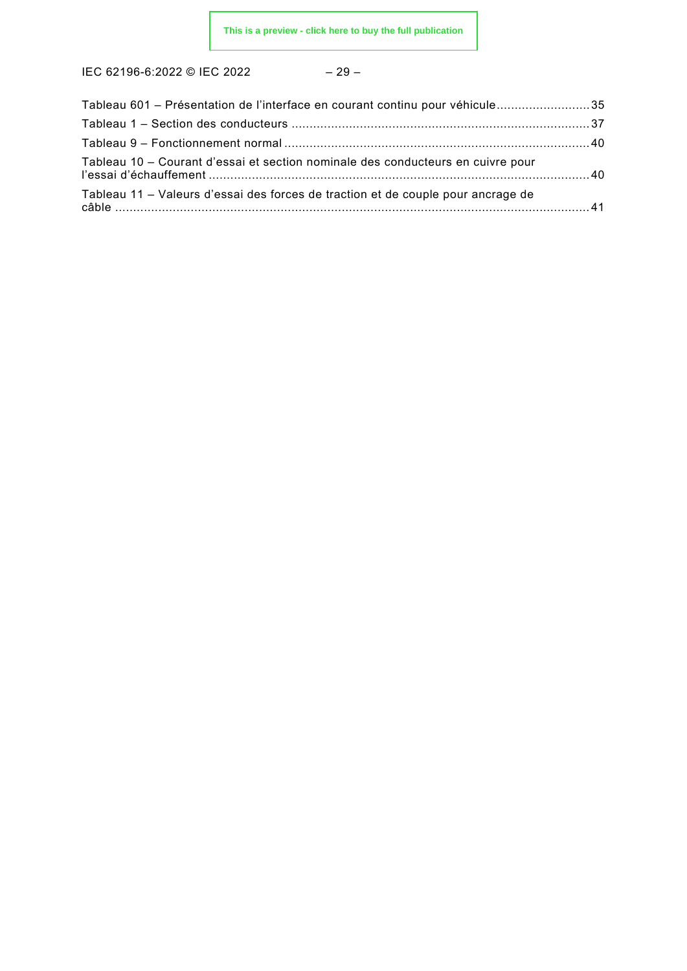$$
-29-
$$

| Tableau 601 – Présentation de l'interface en courant continu pour véhicule35     |  |
|----------------------------------------------------------------------------------|--|
|                                                                                  |  |
|                                                                                  |  |
| Tableau 10 - Courant d'essai et section nominale des conducteurs en cuivre pour  |  |
| Tableau 11 – Valeurs d'essai des forces de traction et de couple pour ancrage de |  |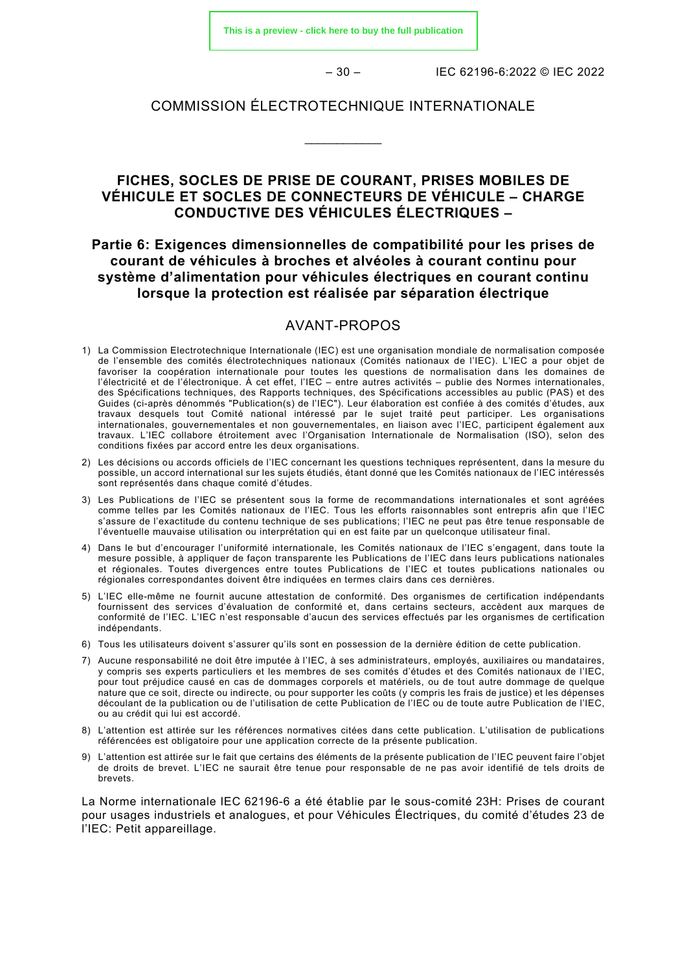– 30 – IEC 62196-6:2022 © IEC 2022

#### COMMISSION ÉLECTROTECHNIQUE INTERNATIONALE

\_\_\_\_\_\_\_\_\_\_\_\_

# **FICHES, SOCLES DE PRISE DE COURANT, PRISES MOBILES DE VÉHICULE ET SOCLES DE CONNECTEURS DE VÉHICULE – CHARGE CONDUCTIVE DES VÉHICULES ÉLECTRIQUES –**

# **Partie 6: Exigences dimensionnelles de compatibilité pour les prises de courant de véhicules à broches et alvéoles à courant continu pour système d'alimentation pour véhicules électriques en courant continu lorsque la protection est réalisée par séparation électrique**

#### AVANT-PROPOS

- <span id="page-9-0"></span>1) La Commission Electrotechnique Internationale (IEC) est une organisation mondiale de normalisation composée de l'ensemble des comités électrotechniques nationaux (Comités nationaux de l'IEC). L'IEC a pour objet de favoriser la coopération internationale pour toutes les questions de normalisation dans les domaines de l'électricité et de l'électronique. À cet effet, l'IEC – entre autres activités – publie des Normes internationales, des Spécifications techniques, des Rapports techniques, des Spécifications accessibles au public (PAS) et des Guides (ci-après dénommés "Publication(s) de l'IEC"). Leur élaboration est confiée à des comités d'études, aux travaux desquels tout Comité national intéressé par le sujet traité peut participer. Les organisations internationales, gouvernementales et non gouvernementales, en liaison avec l'IEC, participent également aux travaux. L'IEC collabore étroitement avec l'Organisation Internationale de Normalisation (ISO), selon des conditions fixées par accord entre les deux organisations.
- 2) Les décisions ou accords officiels de l'IEC concernant les questions techniques représentent, dans la mesure du possible, un accord international sur les sujets étudiés, étant donné que les Comités nationaux de l'IEC intéressés sont représentés dans chaque comité d'études.
- 3) Les Publications de l'IEC se présentent sous la forme de recommandations internationales et sont agréées comme telles par les Comités nationaux de l'IEC. Tous les efforts raisonnables sont entrepris afin que l'IEC s'assure de l'exactitude du contenu technique de ses publications; l'IEC ne peut pas être tenue responsable de l'éventuelle mauvaise utilisation ou interprétation qui en est faite par un quelconque utilisateur final.
- 4) Dans le but d'encourager l'uniformité internationale, les Comités nationaux de l'IEC s'engagent, dans toute la mesure possible, à appliquer de façon transparente les Publications de l'IEC dans leurs publications nationales et régionales. Toutes divergences entre toutes Publications de l'IEC et toutes publications nationales ou régionales correspondantes doivent être indiquées en termes clairs dans ces dernières.
- 5) L'IEC elle-même ne fournit aucune attestation de conformité. Des organismes de certification indépendants fournissent des services d'évaluation de conformité et, dans certains secteurs, accèdent aux marques de conformité de l'IEC. L'IEC n'est responsable d'aucun des services effectués par les organismes de certification indépendants.
- 6) Tous les utilisateurs doivent s'assurer qu'ils sont en possession de la dernière édition de cette publication.
- 7) Aucune responsabilité ne doit être imputée à l'IEC, à ses administrateurs, employés, auxiliaires ou mandataires, y compris ses experts particuliers et les membres de ses comités d'études et des Comités nationaux de l'IEC, pour tout préjudice causé en cas de dommages corporels et matériels, ou de tout autre dommage de quelque nature que ce soit, directe ou indirecte, ou pour supporter les coûts (y compris les frais de justice) et les dépenses découlant de la publication ou de l'utilisation de cette Publication de l'IEC ou de toute autre Publication de l'IEC, ou au crédit qui lui est accordé.
- 8) L'attention est attirée sur les références normatives citées dans cette publication. L'utilisation de publications référencées est obligatoire pour une application correcte de la présente publication.
- 9) L'attention est attirée sur le fait que certains des éléments de la présente publication de l'IEC peuvent faire l'objet de droits de brevet. L'IEC ne saurait être tenue pour responsable de ne pas avoir identifié de tels droits de brevets.

La Norme internationale IEC 62196-6 a été établie par le sous-comité 23H: Prises de courant pour usages industriels et analogues, et pour Véhicules Électriques, du comité d'études 23 de l'IEC: Petit appareillage.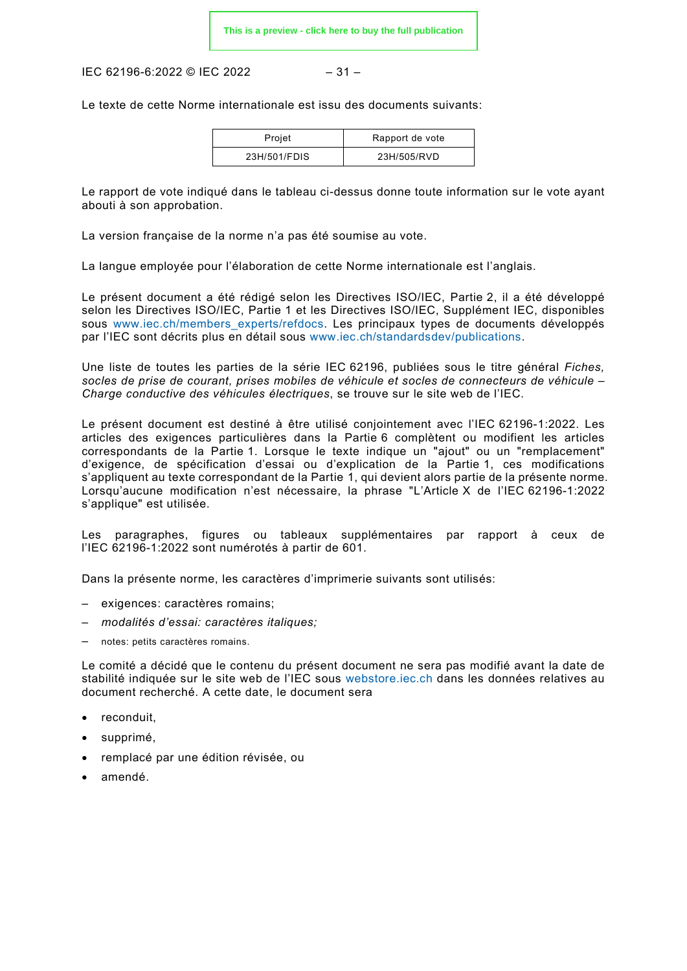IEC 62196-6:2022 © IEC 2022  $-31-$ 

Le texte de cette Norme internationale est issu des documents suivants:

| Projet       | Rapport de vote |
|--------------|-----------------|
| 23H/501/FDIS | 23H/505/RVD     |

Le rapport de vote indiqué dans le tableau ci-dessus donne toute information sur le vote ayant abouti à son approbation.

La version française de la norme n'a pas été soumise au vote.

La langue employée pour l'élaboration de cette Norme internationale est l'anglais.

Le présent document a été rédigé selon les Directives ISO/IEC, Partie 2, il a été développé selon les Directives ISO/IEC, Partie 1 et les Directives ISO/IEC, Supplément IEC, disponibles sous www.iec.ch/members experts/refdocs. Les principaux types de documents développés par l'IEC sont décrits plus en détail sous [www.iec.ch/standardsdev/publications.](http://www.iec.ch/standardsdev/publications)

Une liste de toutes les parties de la série IEC 62196, publiées sous le titre général *Fiches, socles de prise de courant, prises mobiles de véhicule et socles de connecteurs de véhicule – Charge conductive des véhicules électriques*, se trouve sur le site web de l'IEC.

Le présent document est destiné à être utilisé conjointement avec l'IEC 62196-1:2022. Les articles des exigences particulières dans la Partie 6 complètent ou modifient les articles correspondants de la Partie 1. Lorsque le texte indique un "ajout" ou un "remplacement" d'exigence, de spécification d'essai ou d'explication de la Partie 1, ces modifications s'appliquent au texte correspondant de la Partie 1, qui devient alors partie de la présente norme. Lorsqu'aucune modification n'est nécessaire, la phrase "L'Article X de l'IEC 62196-1:2022 s'applique" est utilisée.

Les paragraphes, figures ou tableaux supplémentaires par rapport à ceux de l'IEC 62196-1:2022 sont numérotés à partir de 601.

Dans la présente norme, les caractères d'imprimerie suivants sont utilisés:

- exigences: caractères romains;
- *modalités d'essai: caractères italiques;*
- notes: petits caractères romains.

Le comité a décidé que le contenu du présent document ne sera pas modifié avant la date de stabilité indiquée sur le site web de l'IEC sous [webstore.iec.ch](https://webstore.iec.ch/?ref=menu) dans les données relatives au document recherché. A cette date, le document sera

- reconduit,
- supprimé,
- remplacé par une édition révisée, ou
- amendé.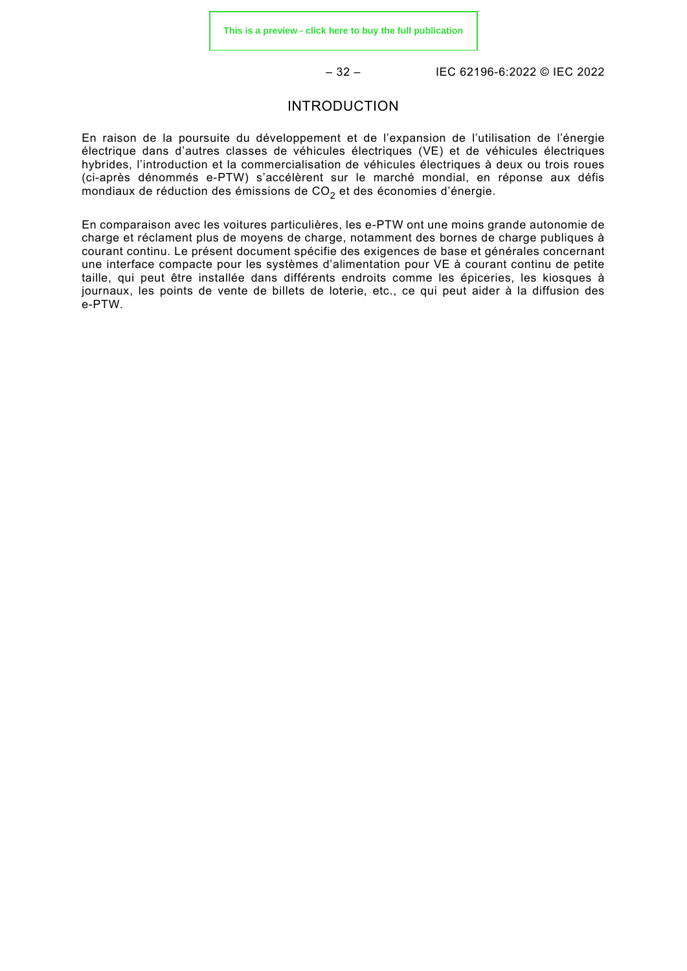– 32 – IEC 62196-6:2022 © IEC 2022

#### INTRODUCTION

<span id="page-11-0"></span>En raison de la poursuite du développement et de l'expansion de l'utilisation de l'énergie électrique dans d'autres classes de véhicules électriques (VE) et de véhicules électriques hybrides, l'introduction et la commercialisation de véhicules électriques à deux ou trois roues (ci-après dénommés e-PTW) s'accélèrent sur le marché mondial, en réponse aux défis mondiaux de réduction des émissions de  $CO<sub>2</sub>$  et des économies d'énergie.

En comparaison avec les voitures particulières, les e-PTW ont une moins grande autonomie de charge et réclament plus de moyens de charge, notamment des bornes de charge publiques à courant continu. Le présent document spécifie des exigences de base et générales concernant une interface compacte pour les systèmes d'alimentation pour VE à courant continu de petite taille, qui peut être installée dans différents endroits comme les épiceries, les kiosques à journaux, les points de vente de billets de loterie, etc., ce qui peut aider à la diffusion des e-PTW.